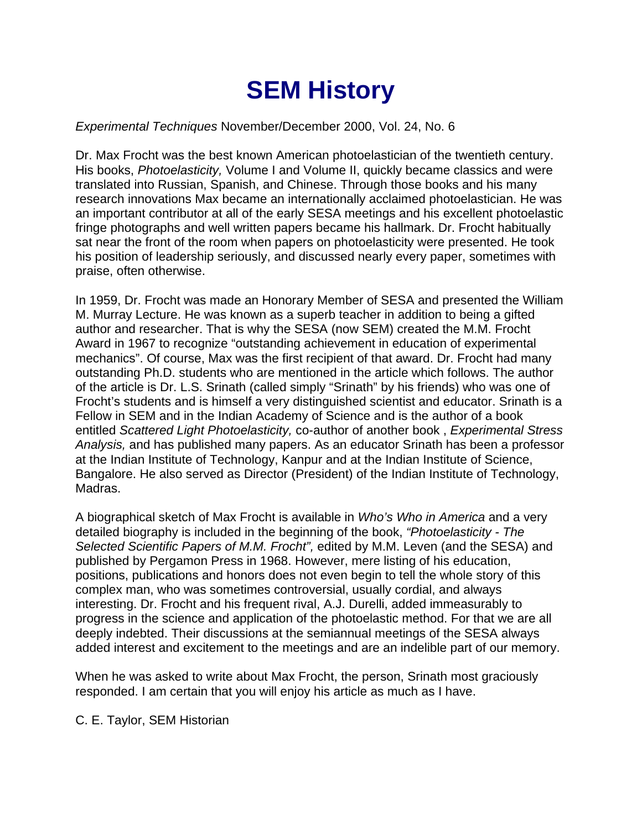## **SEM History**

## *Experimental Techniques* November/December 2000, Vol. 24, No. 6

Dr. Max Frocht was the best known American photoelastician of the twentieth century. His books, *Photoelasticity,* Volume I and Volume II, quickly became classics and were translated into Russian, Spanish, and Chinese. Through those books and his many research innovations Max became an internationally acclaimed photoelastician. He was an important contributor at all of the early SESA meetings and his excellent photoelastic fringe photographs and well written papers became his hallmark. Dr. Frocht habitually sat near the front of the room when papers on photoelasticity were presented. He took his position of leadership seriously, and discussed nearly every paper, sometimes with praise, often otherwise.

In 1959, Dr. Frocht was made an Honorary Member of SESA and presented the William M. Murray Lecture. He was known as a superb teacher in addition to being a gifted author and researcher. That is why the SESA (now SEM) created the M.M. Frocht Award in 1967 to recognize "outstanding achievement in education of experimental mechanics". Of course, Max was the first recipient of that award. Dr. Frocht had many outstanding Ph.D. students who are mentioned in the article which follows. The author of the article is Dr. L.S. Srinath (called simply "Srinath" by his friends) who was one of Frocht's students and is himself a very distinguished scientist and educator. Srinath is a Fellow in SEM and in the Indian Academy of Science and is the author of a book entitled *Scattered Light Photoelasticity,* co-author of another book , *Experimental Stress Analysis,* and has published many papers. As an educator Srinath has been a professor at the Indian Institute of Technology, Kanpur and at the Indian Institute of Science, Bangalore. He also served as Director (President) of the Indian Institute of Technology, Madras.

A biographical sketch of Max Frocht is available in *Who's Who in America* and a very detailed biography is included in the beginning of the book, *"Photoelasticity - The Selected Scientific Papers of M.M. Frocht",* edited by M.M. Leven (and the SESA) and published by Pergamon Press in 1968. However, mere listing of his education, positions, publications and honors does not even begin to tell the whole story of this complex man, who was sometimes controversial, usually cordial, and always interesting. Dr. Frocht and his frequent rival, A.J. Durelli, added immeasurably to progress in the science and application of the photoelastic method. For that we are all deeply indebted. Their discussions at the semiannual meetings of the SESA always added interest and excitement to the meetings and are an indelible part of our memory.

When he was asked to write about Max Frocht, the person, Srinath most graciously responded. I am certain that you will enjoy his article as much as I have.

C. E. Taylor, SEM Historian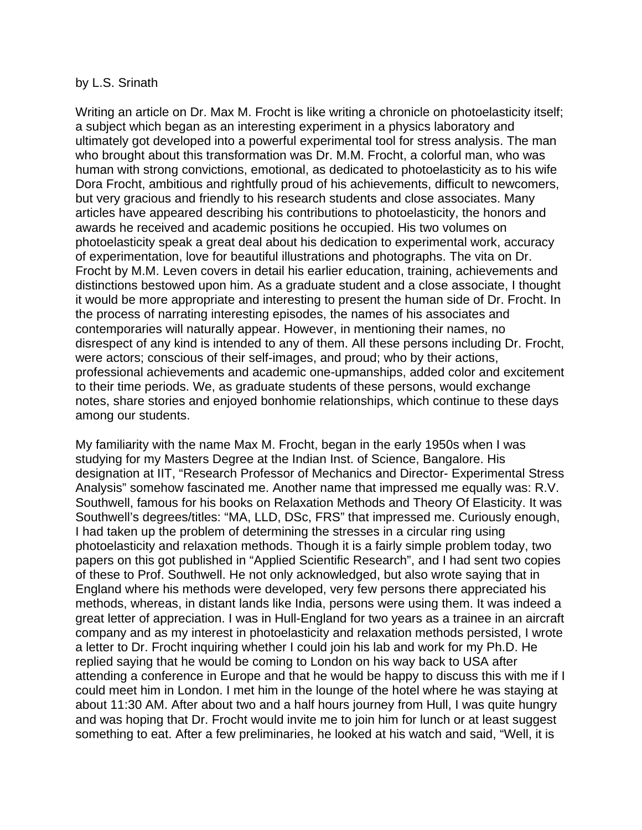## by L.S. Srinath

Writing an article on Dr. Max M. Frocht is like writing a chronicle on photoelasticity itself; a subject which began as an interesting experiment in a physics laboratory and ultimately got developed into a powerful experimental tool for stress analysis. The man who brought about this transformation was Dr. M.M. Frocht, a colorful man, who was human with strong convictions, emotional, as dedicated to photoelasticity as to his wife Dora Frocht, ambitious and rightfully proud of his achievements, difficult to newcomers, but very gracious and friendly to his research students and close associates. Many articles have appeared describing his contributions to photoelasticity, the honors and awards he received and academic positions he occupied. His two volumes on photoelasticity speak a great deal about his dedication to experimental work, accuracy of experimentation, love for beautiful illustrations and photographs. The vita on Dr. Frocht by M.M. Leven covers in detail his earlier education, training, achievements and distinctions bestowed upon him. As a graduate student and a close associate, I thought it would be more appropriate and interesting to present the human side of Dr. Frocht. In the process of narrating interesting episodes, the names of his associates and contemporaries will naturally appear. However, in mentioning their names, no disrespect of any kind is intended to any of them. All these persons including Dr. Frocht, were actors; conscious of their self-images, and proud; who by their actions, professional achievements and academic one-upmanships, added color and excitement to their time periods. We, as graduate students of these persons, would exchange notes, share stories and enjoyed bonhomie relationships, which continue to these days among our students.

My familiarity with the name Max M. Frocht, began in the early 1950s when I was studying for my Masters Degree at the Indian Inst. of Science, Bangalore. His designation at IIT, "Research Professor of Mechanics and Director- Experimental Stress Analysis" somehow fascinated me. Another name that impressed me equally was: R.V. Southwell, famous for his books on Relaxation Methods and Theory Of Elasticity. It was Southwell's degrees/titles: "MA, LLD, DSc, FRS" that impressed me. Curiously enough, I had taken up the problem of determining the stresses in a circular ring using photoelasticity and relaxation methods. Though it is a fairly simple problem today, two papers on this got published in "Applied Scientific Research", and I had sent two copies of these to Prof. Southwell. He not only acknowledged, but also wrote saying that in England where his methods were developed, very few persons there appreciated his methods, whereas, in distant lands like India, persons were using them. It was indeed a great letter of appreciation. I was in Hull-England for two years as a trainee in an aircraft company and as my interest in photoelasticity and relaxation methods persisted, I wrote a letter to Dr. Frocht inquiring whether I could join his lab and work for my Ph.D. He replied saying that he would be coming to London on his way back to USA after attending a conference in Europe and that he would be happy to discuss this with me if I could meet him in London. I met him in the lounge of the hotel where he was staying at about 11:30 AM. After about two and a half hours journey from Hull, I was quite hungry and was hoping that Dr. Frocht would invite me to join him for lunch or at least suggest something to eat. After a few preliminaries, he looked at his watch and said, "Well, it is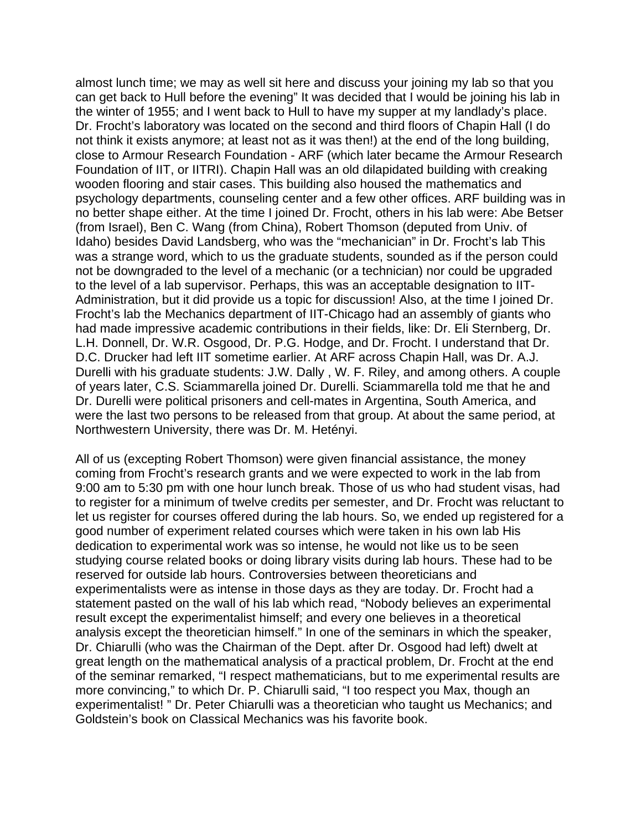almost lunch time; we may as well sit here and discuss your joining my lab so that you can get back to Hull before the evening" It was decided that I would be joining his lab in the winter of 1955; and I went back to Hull to have my supper at my landlady's place. Dr. Frocht's laboratory was located on the second and third floors of Chapin Hall (I do not think it exists anymore; at least not as it was then!) at the end of the long building, close to Armour Research Foundation - ARF (which later became the Armour Research Foundation of IIT, or IITRI). Chapin Hall was an old dilapidated building with creaking wooden flooring and stair cases. This building also housed the mathematics and psychology departments, counseling center and a few other offices. ARF building was in no better shape either. At the time I joined Dr. Frocht, others in his lab were: Abe Betser (from Israel), Ben C. Wang (from China), Robert Thomson (deputed from Univ. of Idaho) besides David Landsberg, who was the "mechanician" in Dr. Frocht's lab This was a strange word, which to us the graduate students, sounded as if the person could not be downgraded to the level of a mechanic (or a technician) nor could be upgraded to the level of a lab supervisor. Perhaps, this was an acceptable designation to IIT-Administration, but it did provide us a topic for discussion! Also, at the time I joined Dr. Frocht's lab the Mechanics department of IIT-Chicago had an assembly of giants who had made impressive academic contributions in their fields, like: Dr. Eli Sternberg, Dr. L.H. Donnell, Dr. W.R. Osgood, Dr. P.G. Hodge, and Dr. Frocht. I understand that Dr. D.C. Drucker had left IIT sometime earlier. At ARF across Chapin Hall, was Dr. A.J. Durelli with his graduate students: J.W. Dally , W. F. Riley, and among others. A couple of years later, C.S. Sciammarella joined Dr. Durelli. Sciammarella told me that he and Dr. Durelli were political prisoners and cell-mates in Argentina, South America, and were the last two persons to be released from that group. At about the same period, at Northwestern University, there was Dr. M. Hetényi.

All of us (excepting Robert Thomson) were given financial assistance, the money coming from Frocht's research grants and we were expected to work in the lab from 9:00 am to 5:30 pm with one hour lunch break. Those of us who had student visas, had to register for a minimum of twelve credits per semester, and Dr. Frocht was reluctant to let us register for courses offered during the lab hours. So, we ended up registered for a good number of experiment related courses which were taken in his own lab His dedication to experimental work was so intense, he would not like us to be seen studying course related books or doing library visits during lab hours. These had to be reserved for outside lab hours. Controversies between theoreticians and experimentalists were as intense in those days as they are today. Dr. Frocht had a statement pasted on the wall of his lab which read, "Nobody believes an experimental result except the experimentalist himself; and every one believes in a theoretical analysis except the theoretician himself." In one of the seminars in which the speaker, Dr. Chiarulli (who was the Chairman of the Dept. after Dr. Osgood had left) dwelt at great length on the mathematical analysis of a practical problem, Dr. Frocht at the end of the seminar remarked, "I respect mathematicians, but to me experimental results are more convincing," to which Dr. P. Chiarulli said, "I too respect you Max, though an experimentalist! " Dr. Peter Chiarulli was a theoretician who taught us Mechanics; and Goldstein's book on Classical Mechanics was his favorite book.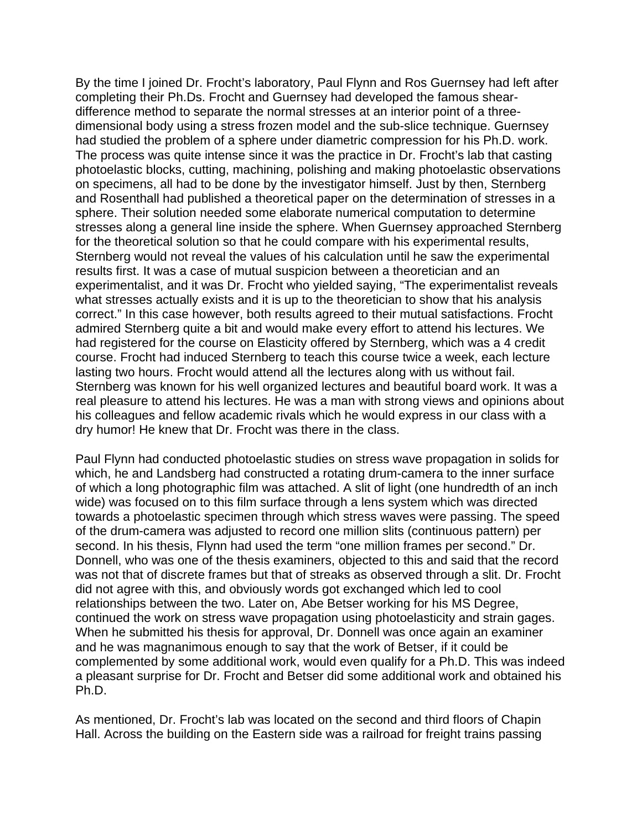By the time I joined Dr. Frocht's laboratory, Paul Flynn and Ros Guernsey had left after completing their Ph.Ds. Frocht and Guernsey had developed the famous sheardifference method to separate the normal stresses at an interior point of a threedimensional body using a stress frozen model and the sub-slice technique. Guernsey had studied the problem of a sphere under diametric compression for his Ph.D. work. The process was quite intense since it was the practice in Dr. Frocht's lab that casting photoelastic blocks, cutting, machining, polishing and making photoelastic observations on specimens, all had to be done by the investigator himself. Just by then, Sternberg and Rosenthall had published a theoretical paper on the determination of stresses in a sphere. Their solution needed some elaborate numerical computation to determine stresses along a general line inside the sphere. When Guernsey approached Sternberg for the theoretical solution so that he could compare with his experimental results, Sternberg would not reveal the values of his calculation until he saw the experimental results first. It was a case of mutual suspicion between a theoretician and an experimentalist, and it was Dr. Frocht who yielded saying, "The experimentalist reveals what stresses actually exists and it is up to the theoretician to show that his analysis correct." In this case however, both results agreed to their mutual satisfactions. Frocht admired Sternberg quite a bit and would make every effort to attend his lectures. We had registered for the course on Elasticity offered by Sternberg, which was a 4 credit course. Frocht had induced Sternberg to teach this course twice a week, each lecture lasting two hours. Frocht would attend all the lectures along with us without fail. Sternberg was known for his well organized lectures and beautiful board work. It was a real pleasure to attend his lectures. He was a man with strong views and opinions about his colleagues and fellow academic rivals which he would express in our class with a dry humor! He knew that Dr. Frocht was there in the class.

Paul Flynn had conducted photoelastic studies on stress wave propagation in solids for which, he and Landsberg had constructed a rotating drum-camera to the inner surface of which a long photographic film was attached. A slit of light (one hundredth of an inch wide) was focused on to this film surface through a lens system which was directed towards a photoelastic specimen through which stress waves were passing. The speed of the drum-camera was adjusted to record one million slits (continuous pattern) per second. In his thesis, Flynn had used the term "one million frames per second." Dr. Donnell, who was one of the thesis examiners, objected to this and said that the record was not that of discrete frames but that of streaks as observed through a slit. Dr. Frocht did not agree with this, and obviously words got exchanged which led to cool relationships between the two. Later on, Abe Betser working for his MS Degree, continued the work on stress wave propagation using photoelasticity and strain gages. When he submitted his thesis for approval, Dr. Donnell was once again an examiner and he was magnanimous enough to say that the work of Betser, if it could be complemented by some additional work, would even qualify for a Ph.D. This was indeed a pleasant surprise for Dr. Frocht and Betser did some additional work and obtained his Ph.D.

As mentioned, Dr. Frocht's lab was located on the second and third floors of Chapin Hall. Across the building on the Eastern side was a railroad for freight trains passing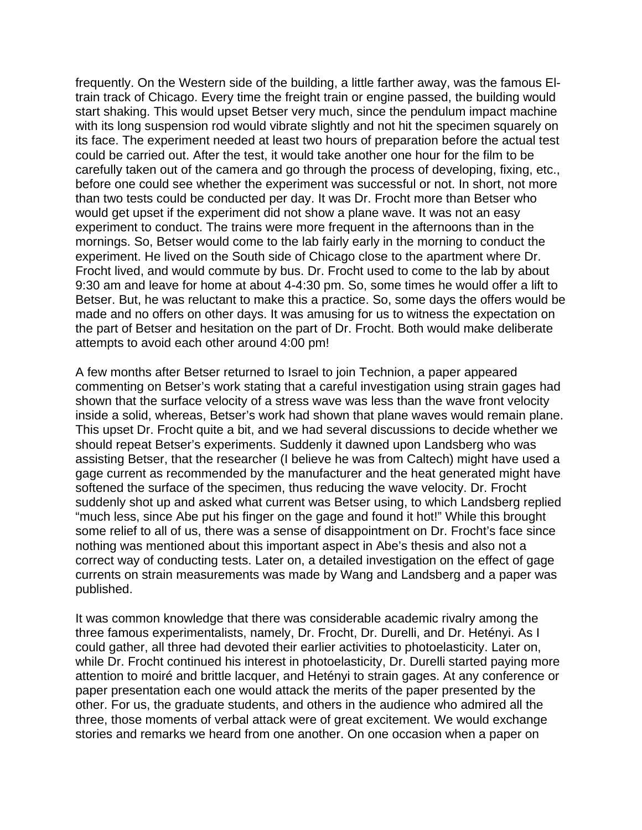frequently. On the Western side of the building, a little farther away, was the famous Eltrain track of Chicago. Every time the freight train or engine passed, the building would start shaking. This would upset Betser very much, since the pendulum impact machine with its long suspension rod would vibrate slightly and not hit the specimen squarely on its face. The experiment needed at least two hours of preparation before the actual test could be carried out. After the test, it would take another one hour for the film to be carefully taken out of the camera and go through the process of developing, fixing, etc., before one could see whether the experiment was successful or not. In short, not more than two tests could be conducted per day. It was Dr. Frocht more than Betser who would get upset if the experiment did not show a plane wave. It was not an easy experiment to conduct. The trains were more frequent in the afternoons than in the mornings. So, Betser would come to the lab fairly early in the morning to conduct the experiment. He lived on the South side of Chicago close to the apartment where Dr. Frocht lived, and would commute by bus. Dr. Frocht used to come to the lab by about 9:30 am and leave for home at about 4-4:30 pm. So, some times he would offer a lift to Betser. But, he was reluctant to make this a practice. So, some days the offers would be made and no offers on other days. It was amusing for us to witness the expectation on the part of Betser and hesitation on the part of Dr. Frocht. Both would make deliberate attempts to avoid each other around 4:00 pm!

A few months after Betser returned to Israel to join Technion, a paper appeared commenting on Betser's work stating that a careful investigation using strain gages had shown that the surface velocity of a stress wave was less than the wave front velocity inside a solid, whereas, Betser's work had shown that plane waves would remain plane. This upset Dr. Frocht quite a bit, and we had several discussions to decide whether we should repeat Betser's experiments. Suddenly it dawned upon Landsberg who was assisting Betser, that the researcher (I believe he was from Caltech) might have used a gage current as recommended by the manufacturer and the heat generated might have softened the surface of the specimen, thus reducing the wave velocity. Dr. Frocht suddenly shot up and asked what current was Betser using, to which Landsberg replied "much less, since Abe put his finger on the gage and found it hot!" While this brought some relief to all of us, there was a sense of disappointment on Dr. Frocht's face since nothing was mentioned about this important aspect in Abe's thesis and also not a correct way of conducting tests. Later on, a detailed investigation on the effect of gage currents on strain measurements was made by Wang and Landsberg and a paper was published.

It was common knowledge that there was considerable academic rivalry among the three famous experimentalists, namely, Dr. Frocht, Dr. Durelli, and Dr. Hetényi. As I could gather, all three had devoted their earlier activities to photoelasticity. Later on, while Dr. Frocht continued his interest in photoelasticity, Dr. Durelli started paying more attention to moiré and brittle lacquer, and Hetényi to strain gages. At any conference or paper presentation each one would attack the merits of the paper presented by the other. For us, the graduate students, and others in the audience who admired all the three, those moments of verbal attack were of great excitement. We would exchange stories and remarks we heard from one another. On one occasion when a paper on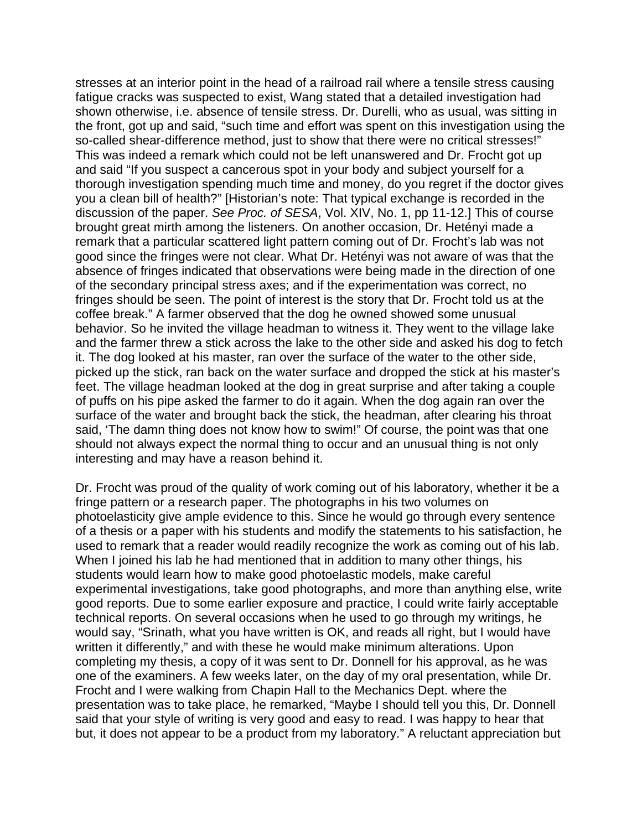stresses at an interior point in the head of a railroad rail where a tensile stress causing fatigue cracks was suspected to exist, Wang stated that a detailed investigation had shown otherwise, i.e. absence of tensile stress. Dr. Durelli, who as usual, was sitting in the front, got up and said, "such time and effort was spent on this investigation using the so-called shear-difference method, just to show that there were no critical stresses!" This was indeed a remark which could not be left unanswered and Dr. Frocht got up and said "If you suspect a cancerous spot in your body and subject yourself for a thorough investigation spending much time and money, do you regret if the doctor gives you a clean bill of health?" [Historian's note: That typical exchange is recorded in the discussion of the paper. *See Proc. of SESA*, Vol. XIV, No. 1, pp 11-12.] This of course brought great mirth among the listeners. On another occasion, Dr. Hetényi made a remark that a particular scattered light pattern coming out of Dr. Frocht's lab was not good since the fringes were not clear. What Dr. Hetényi was not aware of was that the absence of fringes indicated that observations were being made in the direction of one of the secondary principal stress axes; and if the experimentation was correct, no fringes should be seen. The point of interest is the story that Dr. Frocht told us at the coffee break." A farmer observed that the dog he owned showed some unusual behavior. So he invited the village headman to witness it. They went to the village lake and the farmer threw a stick across the lake to the other side and asked his dog to fetch it. The dog looked at his master, ran over the surface of the water to the other side, picked up the stick, ran back on the water surface and dropped the stick at his master's feet. The village headman looked at the dog in great surprise and after taking a couple of puffs on his pipe asked the farmer to do it again. When the dog again ran over the surface of the water and brought back the stick, the headman, after clearing his throat said, 'The damn thing does not know how to swim!" Of course, the point was that one should not always expect the normal thing to occur and an unusual thing is not only interesting and may have a reason behind it.

Dr. Frocht was proud of the quality of work coming out of his laboratory, whether it be a fringe pattern or a research paper. The photographs in his two volumes on photoelasticity give ample evidence to this. Since he would go through every sentence of a thesis or a paper with his students and modify the statements to his satisfaction, he used to remark that a reader would readily recognize the work as coming out of his lab. When I joined his lab he had mentioned that in addition to many other things, his students would learn how to make good photoelastic models, make careful experimental investigations, take good photographs, and more than anything else, write good reports. Due to some earlier exposure and practice, I could write fairly acceptable technical reports. On several occasions when he used to go through my writings, he would say, "Srinath, what you have written is OK, and reads all right, but I would have written it differently," and with these he would make minimum alterations. Upon completing my thesis, a copy of it was sent to Dr. Donnell for his approval, as he was one of the examiners. A few weeks later, on the day of my oral presentation, while Dr. Frocht and I were walking from Chapin Hall to the Mechanics Dept. where the presentation was to take place, he remarked, "Maybe I should tell you this, Dr. Donnell said that your style of writing is very good and easy to read. I was happy to hear that but, it does not appear to be a product from my laboratory." A reluctant appreciation but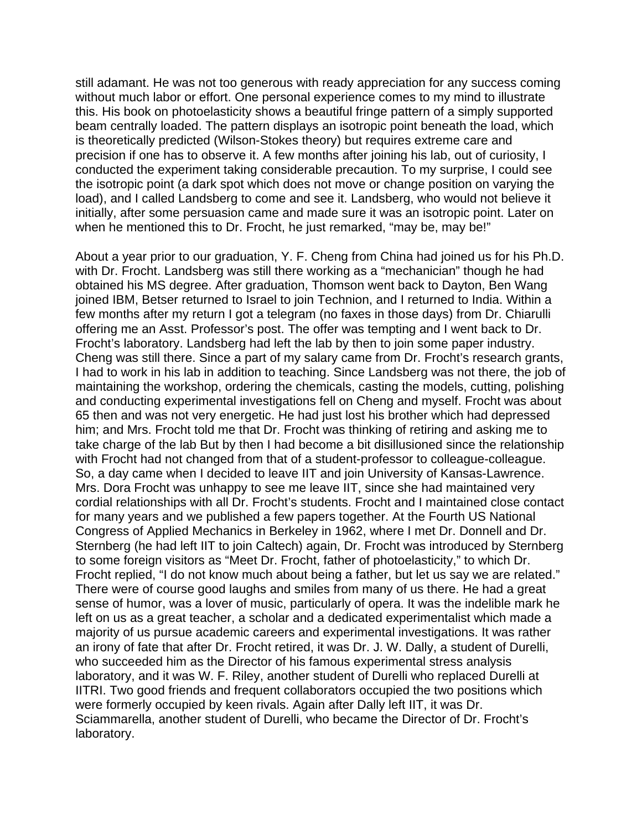still adamant. He was not too generous with ready appreciation for any success coming without much labor or effort. One personal experience comes to my mind to illustrate this. His book on photoelasticity shows a beautiful fringe pattern of a simply supported beam centrally loaded. The pattern displays an isotropic point beneath the load, which is theoretically predicted (Wilson-Stokes theory) but requires extreme care and precision if one has to observe it. A few months after joining his lab, out of curiosity, I conducted the experiment taking considerable precaution. To my surprise, I could see the isotropic point (a dark spot which does not move or change position on varying the load), and I called Landsberg to come and see it. Landsberg, who would not believe it initially, after some persuasion came and made sure it was an isotropic point. Later on when he mentioned this to Dr. Frocht, he just remarked, "may be, may be!"

About a year prior to our graduation, Y. F. Cheng from China had joined us for his Ph.D. with Dr. Frocht. Landsberg was still there working as a "mechanician" though he had obtained his MS degree. After graduation, Thomson went back to Dayton, Ben Wang joined IBM, Betser returned to Israel to join Technion, and I returned to India. Within a few months after my return I got a telegram (no faxes in those days) from Dr. Chiarulli offering me an Asst. Professor's post. The offer was tempting and I went back to Dr. Frocht's laboratory. Landsberg had left the lab by then to join some paper industry. Cheng was still there. Since a part of my salary came from Dr. Frocht's research grants, I had to work in his lab in addition to teaching. Since Landsberg was not there, the job of maintaining the workshop, ordering the chemicals, casting the models, cutting, polishing and conducting experimental investigations fell on Cheng and myself. Frocht was about 65 then and was not very energetic. He had just lost his brother which had depressed him; and Mrs. Frocht told me that Dr. Frocht was thinking of retiring and asking me to take charge of the lab But by then I had become a bit disillusioned since the relationship with Frocht had not changed from that of a student-professor to colleague-colleague. So, a day came when I decided to leave IIT and join University of Kansas-Lawrence. Mrs. Dora Frocht was unhappy to see me leave IIT, since she had maintained very cordial relationships with all Dr. Frocht's students. Frocht and I maintained close contact for many years and we published a few papers together. At the Fourth US National Congress of Applied Mechanics in Berkeley in 1962, where I met Dr. Donnell and Dr. Sternberg (he had left IIT to join Caltech) again, Dr. Frocht was introduced by Sternberg to some foreign visitors as "Meet Dr. Frocht, father of photoelasticity," to which Dr. Frocht replied, "I do not know much about being a father, but let us say we are related." There were of course good laughs and smiles from many of us there. He had a great sense of humor, was a lover of music, particularly of opera. It was the indelible mark he left on us as a great teacher, a scholar and a dedicated experimentalist which made a majority of us pursue academic careers and experimental investigations. It was rather an irony of fate that after Dr. Frocht retired, it was Dr. J. W. Dally, a student of Durelli, who succeeded him as the Director of his famous experimental stress analysis laboratory, and it was W. F. Riley, another student of Durelli who replaced Durelli at IITRI. Two good friends and frequent collaborators occupied the two positions which were formerly occupied by keen rivals. Again after Dally left IIT, it was Dr. Sciammarella, another student of Durelli, who became the Director of Dr. Frocht's laboratory.